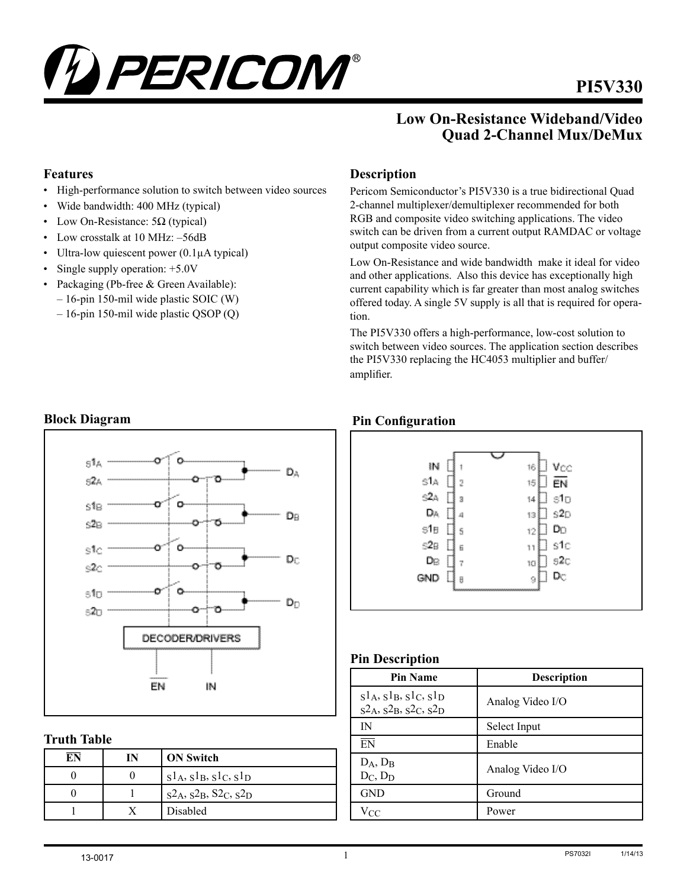

# **PI5V330**

# **Low On-Resistance Wideband/Video Quad 2-Channel Mux/DeMux**

### **Features**

- • High-performance solution to switch between video sources
- Wide bandwidth: 400 MHz (typical)
- Low On-Resistance:  $5\Omega$  (typical)
- Low crosstalk at 10 MHz:  $-56dB$
- Ultra-low quiescent power  $(0.1\mu A$  typical)
- Single supply operation: +5.0V
- Packaging (Pb-free & Green Available): – 16-pin 150-mil wide plastic SOIC (W)
	- 16-pin 150-mil wide plastic QSOP (Q)

# **Description**

Pericom Semiconductor's PI5V330 is a true bidirectional Quad 2-channel multiplexer/demultiplexer recommended for both RGB and composite video switching applications. The video switch can be driven from a current output RAMDAC or voltage output composite video source.

Low On-Resistance and wide bandwidth make it ideal for video and other applications. Also this device has exceptionally high current capability which is far greater than most analog switches offered today. A single 5V supply is all that is required for operation.

The PI5V330 offers a high-performance, low-cost solution to switch between video sources. The application section describes the PI5V330 replacing the HC4053 multiplier and buffer/ amplifier.

# **Pin Configuration**



### **Pin Description**

| <b>Pin Name</b>                                               | <b>Description</b> |
|---------------------------------------------------------------|--------------------|
| $s1_A, s1_B, s1_C, s1_D$<br>$s^2A$ , $s^2B$ , $s^2C$ , $s^2D$ | Analog Video I/O   |
| IN                                                            | Select Input       |
| $\overline{FN}$                                               | Enable             |
| $D_A, D_B$<br>$D_C$ , $D_D$                                   | Analog Video I/O   |
| <b>GND</b>                                                    | Ground             |
| $V_{CC}$                                                      | Power              |

# **Block Diagram**



### **Truth Table**

| $\overline{\mathrm{EN}}$ | IN | <b>ON Switch</b>          |
|--------------------------|----|---------------------------|
|                          |    | $s1_A, s1_B, s1_C, s1_D$  |
|                          |    | $S_4, S_2, S_2, S_2, S_2$ |
|                          |    | Disabled                  |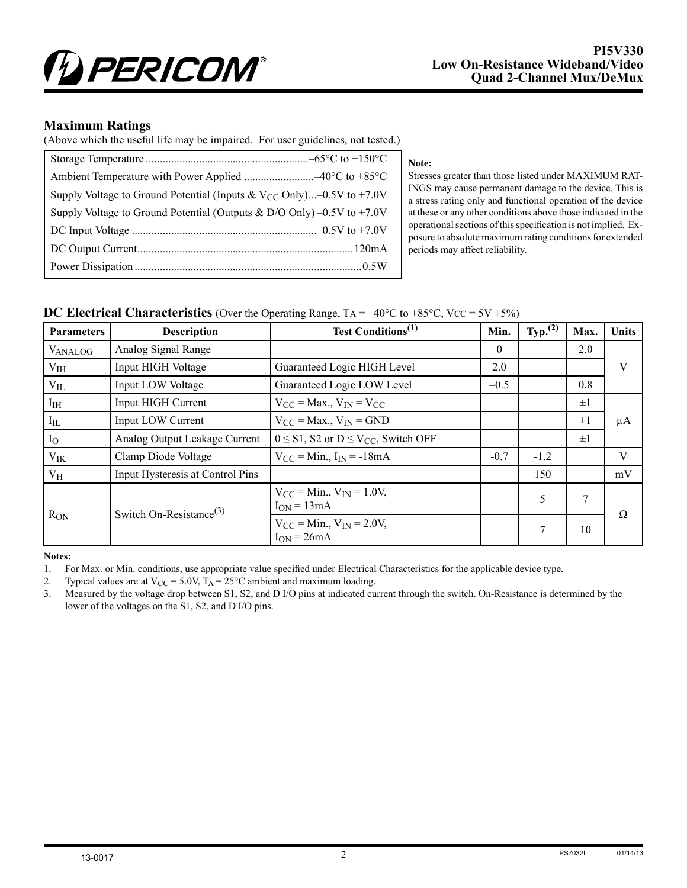

#### **Maximum Ratings**

(Above which the useful life may be impaired. For user guidelines, not tested.)

| Supply Voltage to Ground Potential (Inputs & $V_{CC}$ Only)–0.5V to +7.0V  |
|----------------------------------------------------------------------------|
| Supply Voltage to Ground Potential (Outputs & D/O Only) $-0.5V$ to $+7.0V$ |
|                                                                            |
|                                                                            |
|                                                                            |

#### **Note:**

Stresses greater than those listed under MAXIMUM RAT-INGS may cause permanent damage to the device. This is a stress rating only and functional operation of the device at these or any other conditions above those indicated in the operational sections of this specification is not implied. Exposure to absolute maximum rating conditions for extended periods may affect reliability.

#### **DC Electrical Characteristics** (Over the Operating Range,  $TA = -40^{\circ}C$  to  $+85^{\circ}C$ , Vcc =  $5V \pm 5\%$ )

| <b>Parameters</b> | <b>Description</b>                  | <b>Test Conditions</b> <sup>(1)</sup>                  | Min.     | Typ. $(2)$ | Max.    | Units |
|-------------------|-------------------------------------|--------------------------------------------------------|----------|------------|---------|-------|
| <b>VANALOG</b>    | Analog Signal Range                 |                                                        | $\theta$ |            | 2.0     |       |
| $V_{IH}$          | Input HIGH Voltage                  | Guaranteed Logic HIGH Level                            | 2.0      |            |         | V     |
| $V_{IL}$          | Input LOW Voltage                   | Guaranteed Logic LOW Level                             | $-0.5$   |            | 0.8     |       |
| I <sub>IH</sub>   | Input HIGH Current                  | $V_{CC}$ = Max., $V_{IN}$ = V <sub>CC</sub>            |          |            | $\pm 1$ |       |
| $I_{IL}$          | Input LOW Current                   | $V_{CC}$ = Max., $V_{IN}$ = GND                        |          |            | $\pm 1$ | μA    |
| $I_{O}$           | Analog Output Leakage Current       | $0 \leq S1$ , S2 or $D \leq V_{CC}$ , Switch OFF       |          |            | $\pm 1$ |       |
| $V_{IK}$          | Clamp Diode Voltage                 | $V_{CC}$ = Min., $I_{IN}$ = -18mA                      | $-0.7$   | $-1.2$     |         | V     |
| $V_{\rm H}$       | Input Hysteresis at Control Pins    |                                                        |          | 150        |         | mV    |
| $R_{ON}$          | Switch On-Resistance <sup>(3)</sup> | $V_{CC} = Min.$ , $V_{IN} = 1.0V$ ,<br>$I_{ON} = 13mA$ |          | 5          | 7       | Ω     |
|                   |                                     | $V_{CC} = Min.$ , $V_{IN} = 2.0V.$<br>$I_{ON} = 26mA$  |          | 7          | 10      |       |

**Notes:**

1. For Max. or Min. conditions, use appropriate value specified under Electrical Characteristics for the applicable device type.

2. Typical values are at  $V_{CC} = 5.0V$ ,  $T_A = 25^{\circ}C$  ambient and maximum loading.

3. Measured by the voltage drop between S1, S2, and D I/O pins at indicated current through the switch. On-Resistance is determined by the lower of the voltages on the S1, S2, and D I/O pins.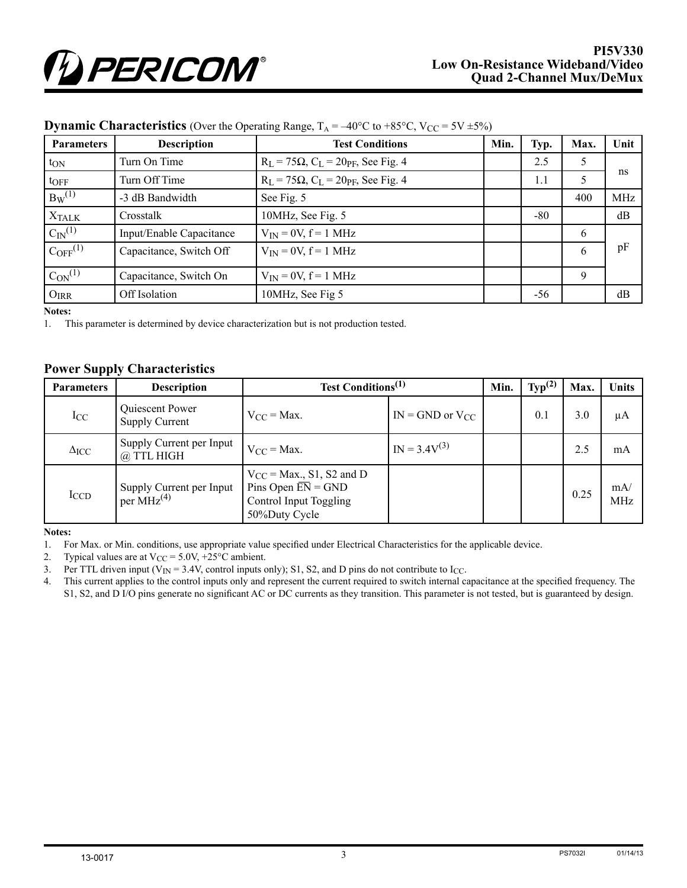| <b>Parameters</b>     | <b>Description</b>       | <b>Test Conditions</b>                                   | Min. | Typ.  | Max.          | Unit |
|-----------------------|--------------------------|----------------------------------------------------------|------|-------|---------------|------|
| $t_{ON}$              | Turn On Time             | $R_L = 75\Omega$ , $C_L = 20p$ F, See Fig. 4             |      | 2.5   | 5             |      |
| $t$ OFF               | Turn Off Time            | $R_L = 75\Omega$ , $C_L = 20p$ <sub>F</sub> , See Fig. 4 |      | 1.1   | $\mathcal{L}$ | ns   |
| $B_W^{(1)}$           | -3 dB Bandwidth          | See Fig. 5                                               |      |       | 400           | MHz  |
| <b>XTALK</b>          | Crosstalk                | 10MHz, See Fig. 5                                        |      | $-80$ |               | dB   |
| $C_{\text{IN}}^{(1)}$ | Input/Enable Capacitance | $V_{IN} = 0V$ , $f = 1$ MHz                              |      |       | 6             |      |
| $C_{\rm OFF}^{(1)}$   | Capacitance, Switch Off  | $V_{IN} = 0V$ , $f = 1$ MHz                              |      |       | 6             | pF   |
| $C_{ON}^{(1)}$        | Capacitance, Switch On   | $V_{IN} = 0V$ , $f = 1$ MHz                              |      |       | 9             |      |
| $O_{IRR}$             | Off Isolation            | 10MHz, See Fig 5                                         |      | $-56$ |               | dB   |

### **Dynamic Characteristics** (Over the Operating Range,  $T_A = -40^{\circ}C$  to  $+85^{\circ}C$ ,  $V_{CC} = 5V \pm 5\%$ )

**Notes:**

1. This parameter is determined by device characterization but is not production tested.

### **Power Supply Characteristics**

| <b>Parameters</b>  | <b>Description</b>                                 | <b>Test Conditions</b> <sup>(1)</sup>                                                                       |                        | Min. | Typ <sup>(2)</sup> | Max. | Units             |
|--------------------|----------------------------------------------------|-------------------------------------------------------------------------------------------------------------|------------------------|------|--------------------|------|-------------------|
| $I_{CC}$           | Quiescent Power<br>Supply Current                  | $V_{CC}$ = Max.                                                                                             | $IN = GND$ or $V_{CC}$ |      | 0.1                | 3.0  | μA                |
| $\Delta_{\rm ICC}$ | Supply Current per Input<br>@ TTL HIGH             | $V_{CC} = Max.$                                                                                             | $IN = 3.4V^{(3)}$      |      |                    | 2.5  | mA                |
| ICCD               | Supply Current per Input<br>per MHz <sup>(4)</sup> | $V_{CC}$ = Max., S1, S2 and D<br>Pins Open $\overline{EN} = GND$<br>Control Input Toggling<br>50%Duty Cycle |                        |      |                    | 0.25 | mA/<br><b>MHz</b> |

**Notes:**

1. For Max. or Min. conditions, use appropriate value specified under Electrical Characteristics for the applicable device.

2. Typical values are at  $V_{CC} = 5.0V$ , +25°C ambient.

3. Per TTL driven input ( $V_{IN} = 3.4V$ , control inputs only); S1, S2, and D pins do not contribute to I<sub>CC</sub>.

4. This current applies to the control inputs only and represent the current required to switch internal capacitance at the specified frequency. The S1, S2, and D I/O pins generate no significant AC or DC currents as they transition. This parameter is not tested, but is guaranteed by design.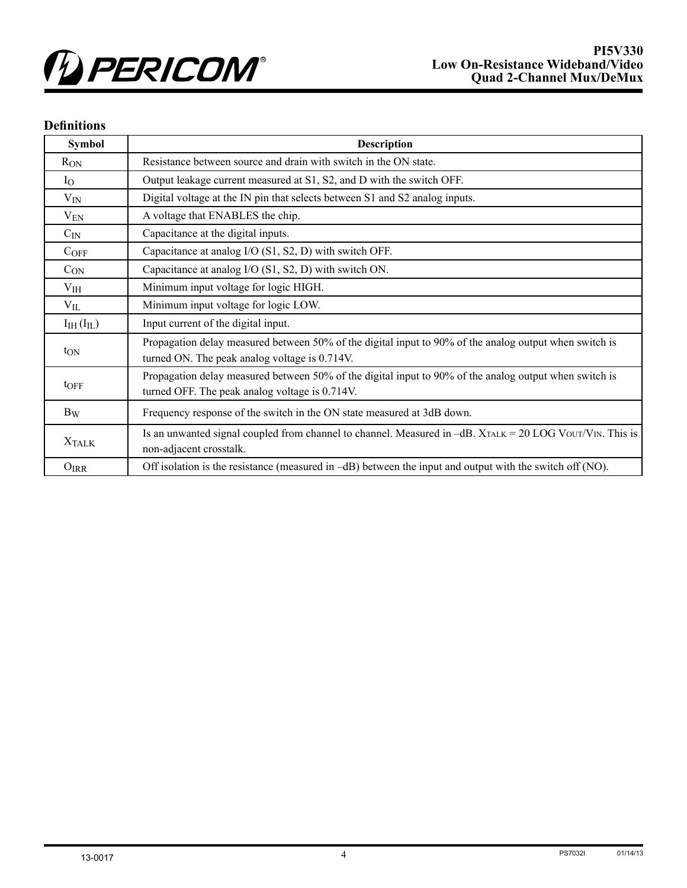

### **Definitions**

| <b>Symbol</b>         | <b>Description</b>                                                                                                                                       |
|-----------------------|----------------------------------------------------------------------------------------------------------------------------------------------------------|
| $R_{ON}$              | Resistance between source and drain with switch in the ON state.                                                                                         |
| $I_{\rm O}$           | Output leakage current measured at S1, S2, and D with the switch OFF.                                                                                    |
| $V_{IN}$              | Digital voltage at the IN pin that selects between S1 and S2 analog inputs.                                                                              |
| $V_{EN}$              | A voltage that ENABLES the chip.                                                                                                                         |
| $C_{IN}$              | Capacitance at the digital inputs.                                                                                                                       |
| $C_{OFF}$             | Capacitance at analog I/O (S1, S2, D) with switch OFF.                                                                                                   |
| $C_{ON}$              | Capacitance at analog I/O (S1, S2, D) with switch ON.                                                                                                    |
| $V_{IH}$              | Minimum input voltage for logic HIGH.                                                                                                                    |
| $V_{IL}$              | Minimum input voltage for logic LOW.                                                                                                                     |
| $I_{IH}$ ( $I_{IL}$ ) | Input current of the digital input.                                                                                                                      |
| $t_{ON}$              | Propagation delay measured between 50% of the digital input to 90% of the analog output when switch is<br>turned ON. The peak analog voltage is 0.714V.  |
| $t$ OFF               | Propagation delay measured between 50% of the digital input to 90% of the analog output when switch is<br>turned OFF. The peak analog voltage is 0.714V. |
| $B_W$                 | Frequency response of the switch in the ON state measured at 3dB down.                                                                                   |
| <b>XTALK</b>          | Is an unwanted signal coupled from channel to channel. Measured in $-dB$ . XTALK = 20 LOG VOUT/VIN. This is<br>non-adjacent crosstalk.                   |
| $O_{IRR}$             | Off isolation is the resistance (measured in $-dB$ ) between the input and output with the switch off (NO).                                              |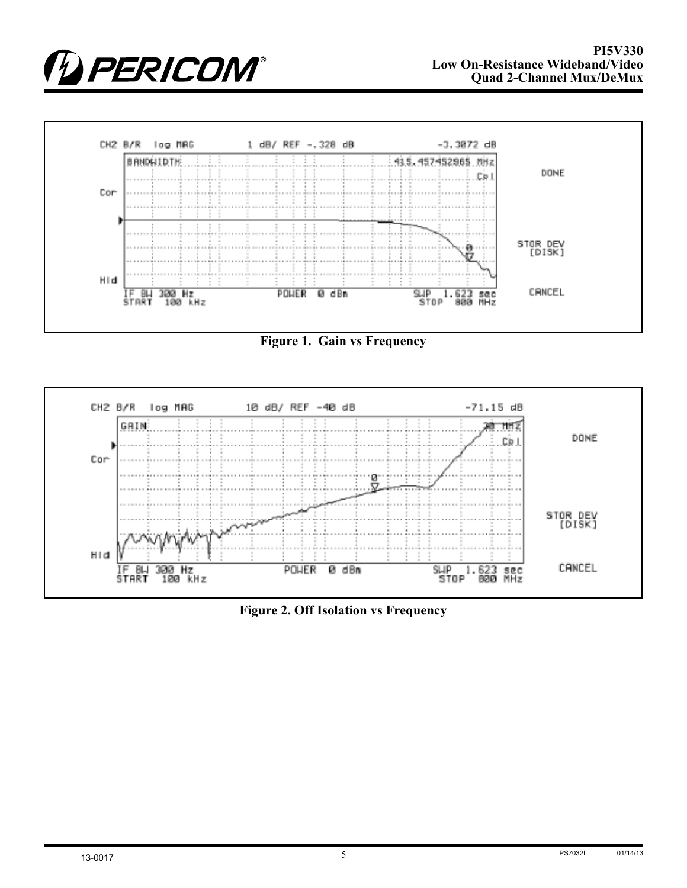



**Figure 1. Gain vs Frequency**



**Figure 2. Off Isolation vs Frequency**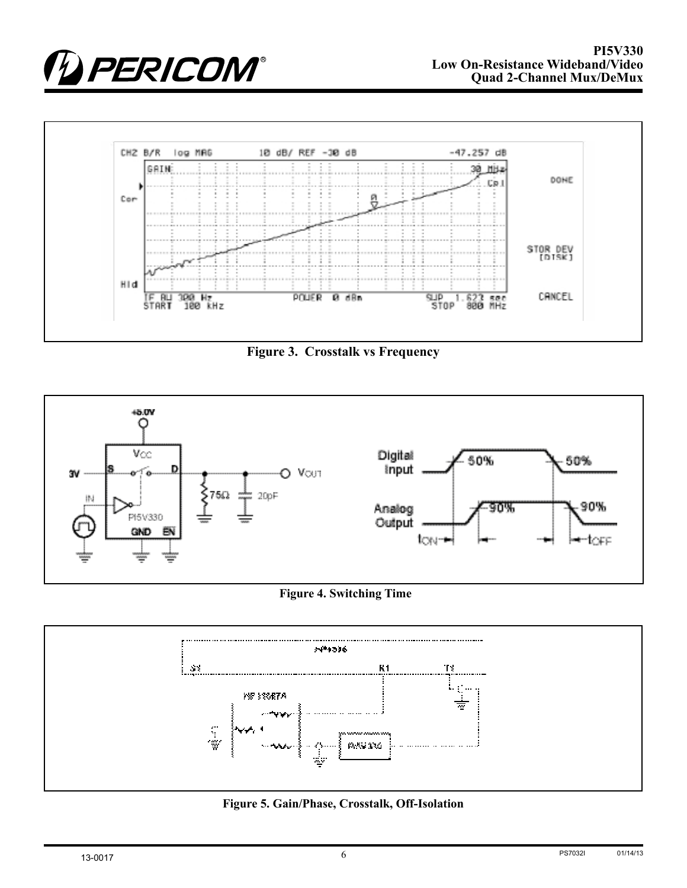



**Figure 3. Crosstalk vs Frequency**



### **Figure 4. Switching Time**



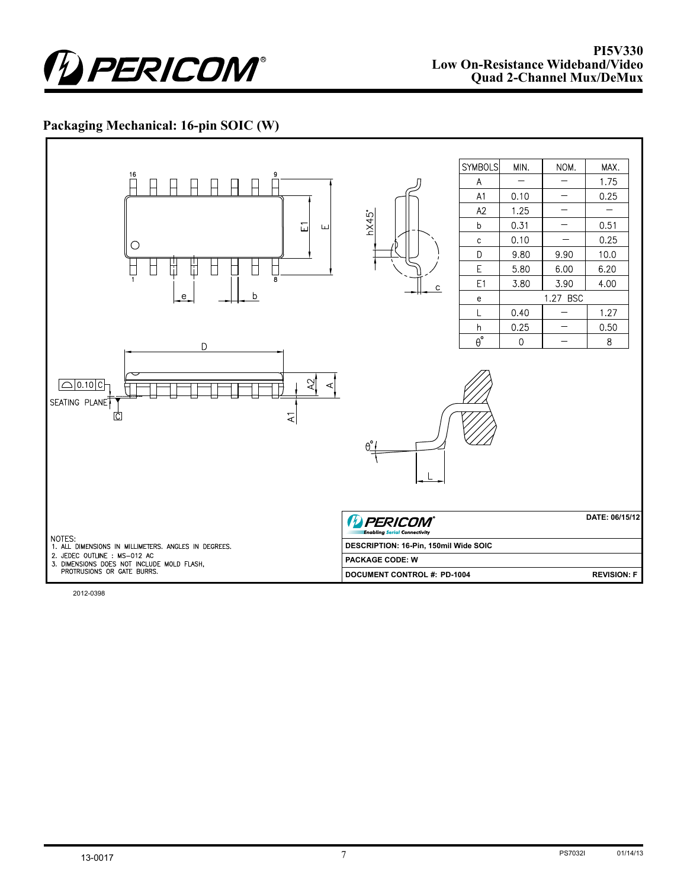

### **Packaging Mechanical: 16-pin SOIC (W)**



2012-0398